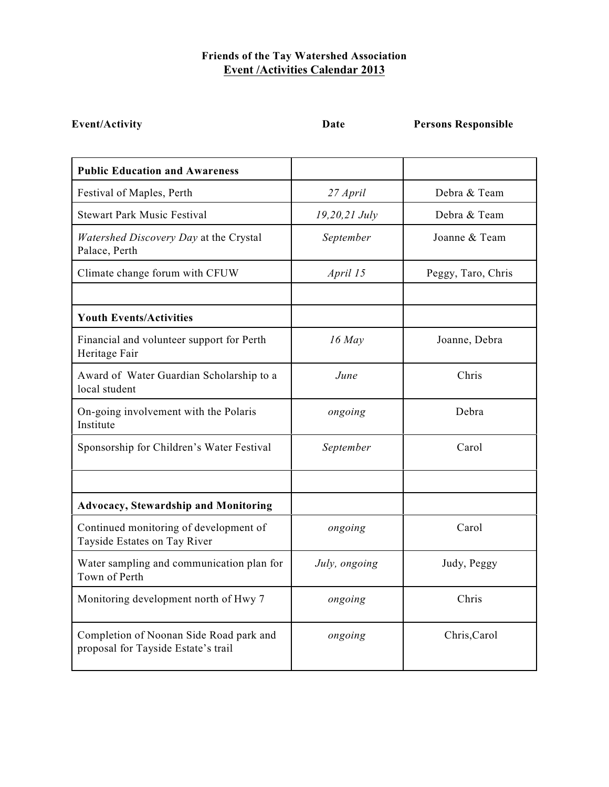## **Friends of the Tay Watershed Association Event /Activities Calendar 2013**

**Event/Activity Date Persons Responsible**

| <b>Public Education and Awareness</b>                                          |               |                    |
|--------------------------------------------------------------------------------|---------------|--------------------|
| Festival of Maples, Perth                                                      | 27 April      | Debra & Team       |
| <b>Stewart Park Music Festival</b>                                             | 19,20,21 July | Debra & Team       |
| Watershed Discovery Day at the Crystal<br>Palace, Perth                        | September     | Joanne & Team      |
| Climate change forum with CFUW                                                 | April 15      | Peggy, Taro, Chris |
| <b>Youth Events/Activities</b>                                                 |               |                    |
| Financial and volunteer support for Perth<br>Heritage Fair                     | $16$ May      | Joanne, Debra      |
| Award of Water Guardian Scholarship to a<br>local student                      | <i>June</i>   | Chris              |
| On-going involvement with the Polaris<br>Institute                             | ongoing       | Debra              |
| Sponsorship for Children's Water Festival                                      | September     | Carol              |
|                                                                                |               |                    |
| <b>Advocacy, Stewardship and Monitoring</b>                                    |               |                    |
| Continued monitoring of development of<br>Tayside Estates on Tay River         | ongoing       | Carol              |
| Water sampling and communication plan for<br>Town of Perth                     | July, ongoing | Judy, Peggy        |
| Monitoring development north of Hwy 7                                          | ongoing       | Chris              |
| Completion of Noonan Side Road park and<br>proposal for Tayside Estate's trail | ongoing       | Chris, Carol       |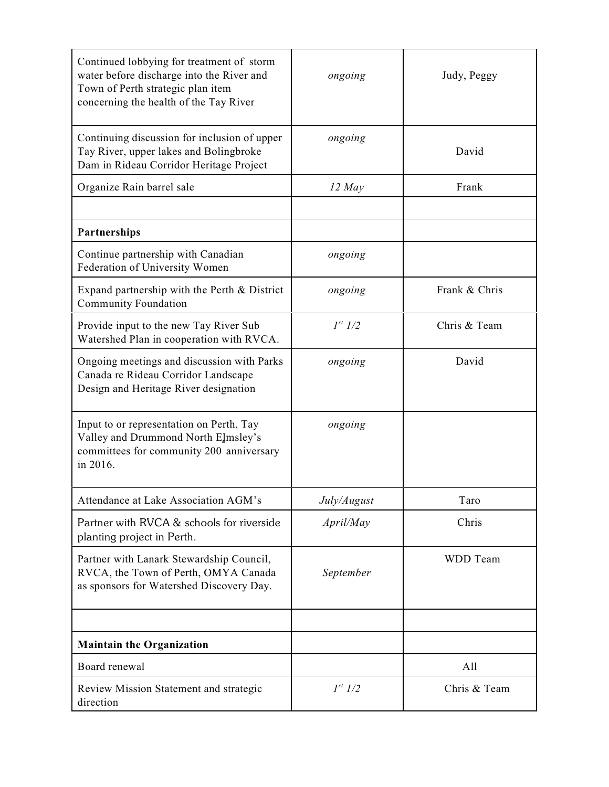| Continued lobbying for treatment of storm<br>water before discharge into the River and<br>Town of Perth strategic plan item<br>concerning the health of the Tay River | ongoing        | Judy, Peggy     |
|-----------------------------------------------------------------------------------------------------------------------------------------------------------------------|----------------|-----------------|
| Continuing discussion for inclusion of upper<br>Tay River, upper lakes and Bolingbroke<br>Dam in Rideau Corridor Heritage Project                                     | ongoing        | David           |
| Organize Rain barrel sale                                                                                                                                             | $12$ May       | Frank           |
|                                                                                                                                                                       |                |                 |
| Partnerships                                                                                                                                                          |                |                 |
| Continue partnership with Canadian<br>Federation of University Women                                                                                                  | ongoing        |                 |
| Expand partnership with the Perth $&$ District<br>Community Foundation                                                                                                | ongoing        | Frank & Chris   |
| Provide input to the new Tay River Sub<br>Watershed Plan in cooperation with RVCA.                                                                                    | $1^{st}$ $1/2$ | Chris & Team    |
| Ongoing meetings and discussion with Parks<br>Canada re Rideau Corridor Landscape<br>Design and Heritage River designation                                            | ongoing        | David           |
| Input to or representation on Perth, Tay<br>Valley and Drummond North Elmsley's<br>committees for community 200 anniversary<br>in 2016.                               | ongoing        |                 |
| Attendance at Lake Association AGM's                                                                                                                                  | July/August    | Taro            |
| Partner with RVCA & schools for riverside<br>planting project in Perth.                                                                                               | April/May      | Chris           |
| Partner with Lanark Stewardship Council,<br>RVCA, the Town of Perth, OMYA Canada<br>as sponsors for Watershed Discovery Day.                                          | September      | <b>WDD</b> Team |
|                                                                                                                                                                       |                |                 |
| <b>Maintain the Organization</b>                                                                                                                                      |                |                 |
| Board renewal                                                                                                                                                         |                | A11             |
| Review Mission Statement and strategic<br>direction                                                                                                                   | $1^{st}$ 1/2   | Chris & Team    |